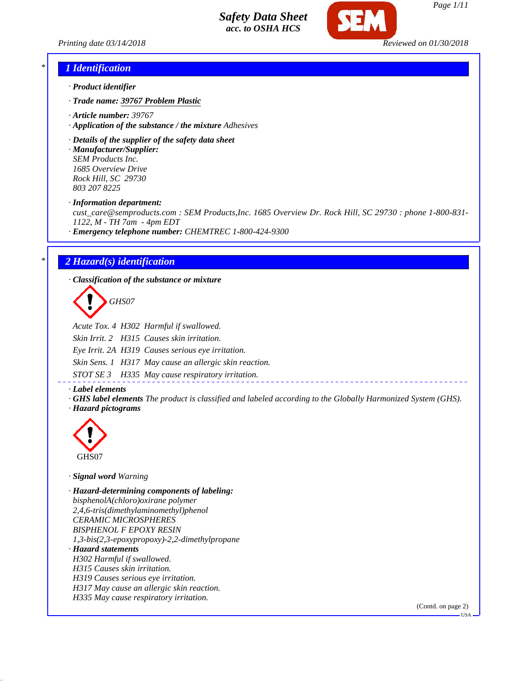

*Page 1/11*

*Printing date 03/14/2018 Reviewed on 01/30/2018*

#### *\* 1 Identification*

- *· Product identifier*
- *· Trade name: 39767 Problem Plastic*
- *· Article number: 39767*
- *· Application of the substance / the mixture Adhesives*
- *· Details of the supplier of the safety data sheet*

*· Manufacturer/Supplier: SEM Products Inc. 1685 Overview Drive Rock Hill, SC 29730 803 207 8225*

*· Information department:*

*cust\_care@semproducts.com : SEM Products,Inc. 1685 Overview Dr. Rock Hill, SC 29730 : phone 1-800-831- 1122, M - TH 7am - 4pm EDT*

*· Emergency telephone number: CHEMTREC 1-800-424-9300*

#### *\* 2 Hazard(s) identification*

*· Classification of the substance or mixture*

*GHS07*

*Acute Tox. 4 H302 Harmful if swallowed.*

*Skin Irrit. 2 H315 Causes skin irritation. Eye Irrit. 2A H319 Causes serious eye irritation. Skin Sens. 1 H317 May cause an allergic skin reaction. STOT SE 3 H335 May cause respiratory irritation.*

*· Label elements*

*· GHS label elements The product is classified and labeled according to the Globally Harmonized System (GHS). · Hazard pictograms*



*· Signal word Warning*

*· Hazard-determining components of labeling: bisphenolA(chloro)oxirane polymer 2,4,6-tris(dimethylaminomethyl)phenol CERAMIC MICROSPHERES BISPHENOL F EPOXY RESIN 1,3-bis(2,3-epoxypropoxy)-2,2-dimethylpropane · Hazard statements H302 Harmful if swallowed. H315 Causes skin irritation. H319 Causes serious eye irritation. H317 May cause an allergic skin reaction. H335 May cause respiratory irritation.*

(Contd. on page 2)

USA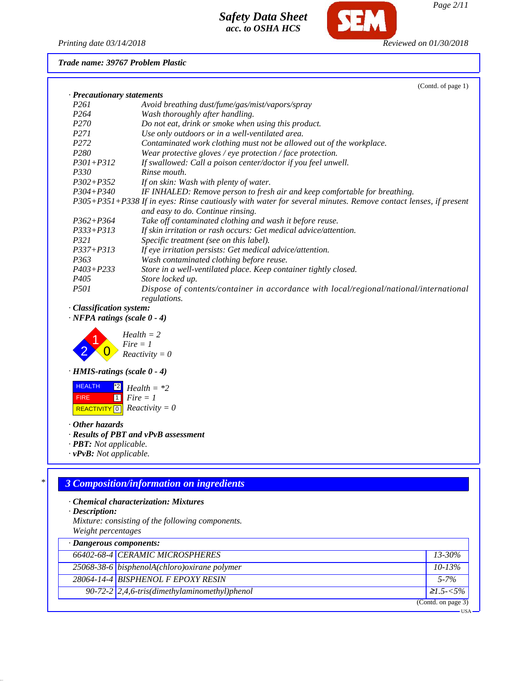

**SFM** 

*Trade name: 39767 Problem Plastic*

|                            | (Contd. of page 1)                                                                                            |
|----------------------------|---------------------------------------------------------------------------------------------------------------|
| · Precautionary statements |                                                                                                               |
| <i>P261</i>                | Avoid breathing dust/fume/gas/mist/vapors/spray                                                               |
| P <sub>264</sub>           | Wash thoroughly after handling.                                                                               |
| P <sub>270</sub>           | Do not eat, drink or smoke when using this product.                                                           |
| <i>P271</i>                | Use only outdoors or in a well-ventilated area.                                                               |
| P <sub>272</sub>           | Contaminated work clothing must not be allowed out of the workplace.                                          |
| P <sub>280</sub>           | Wear protective gloves / eye protection / face protection.                                                    |
| $P301 + P312$              | If swallowed: Call a poison center/doctor if you feel unwell.                                                 |
| <i>P330</i>                | Rinse mouth.                                                                                                  |
| $P302 + P352$              | If on skin: Wash with plenty of water.                                                                        |
| $P304 + P340$              | IF INHALED: Remove person to fresh air and keep comfortable for breathing.                                    |
|                            | P305+P351+P338 If in eyes: Rinse cautiously with water for several minutes. Remove contact lenses, if present |
|                            | and easy to do. Continue rinsing.                                                                             |
| $P362 + P364$              | Take off contaminated clothing and wash it before reuse.                                                      |
| $P333+P313$                | If skin irritation or rash occurs: Get medical advice/attention.                                              |
| <i>P321</i>                | Specific treatment (see on this label).                                                                       |
| $P337 + P313$              | If eye irritation persists: Get medical advice/attention.                                                     |
| P <sub>363</sub>           | Wash contaminated clothing before reuse.                                                                      |
| $P403 + P233$              | Store in a well-ventilated place. Keep container tightly closed.                                              |
| P <sub>405</sub>           | Store locked up.                                                                                              |
| <i>P501</i>                | Dispose of contents/container in accordance with local/regional/national/international<br>regulations.        |

*· Classification system:*

*· NFPA ratings (scale 0 - 4)*



*· HMIS-ratings (scale 0 - 4)*

 HEALTH FIRE  $\overline{REACTIVITY[0]}$  *Reactivity* = 0  $^{\star 2}$  *Health* =  $^{\star 2}$ 1 *Fire = 1*

*· Other hazards*

*· Results of PBT and vPvB assessment*

*· PBT: Not applicable.*

*· vPvB: Not applicable.*

### *\* 3 Composition/information on ingredients*

*· Chemical characterization: Mixtures*

*· Description:*

*Mixture: consisting of the following components. Weight percentages*

| $\cdot$ Dangerous components: |                                                               |                    |
|-------------------------------|---------------------------------------------------------------|--------------------|
|                               | 66402-68-4 CERAMIC MICROSPHERES                               | $13 - 30\%$        |
|                               | $25068 - 38 - 6$ bisphenolA(chloro) oxirane polymer           | $10 - 13\%$        |
|                               | 28064-14-4 BISPHENOL F EPOXY RESIN                            | $5 - 7\%$          |
|                               | 90-72-2 $\left[2,4,6\right]$ -tris(dimethylaminomethyl)phenol | $\geq 1.5 - 5\%$   |
|                               |                                                               | (Contd. on page 3) |
|                               |                                                               | <b>USA</b>         |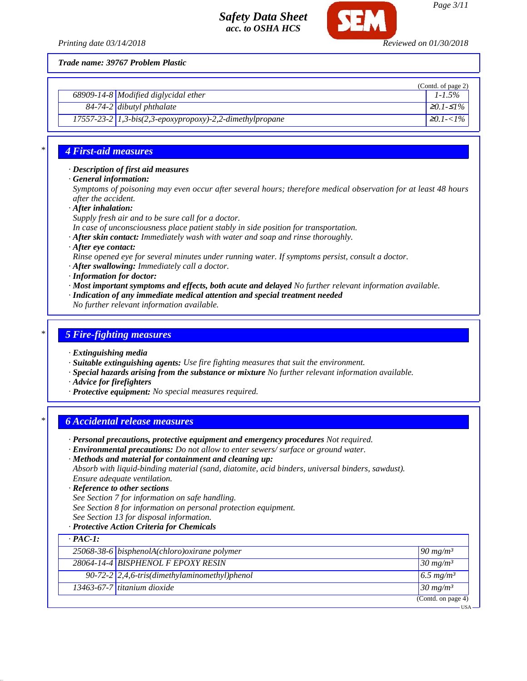

*Trade name: 39767 Problem Plastic*

|                                                            | (Contd. of page 2) |
|------------------------------------------------------------|--------------------|
| $68909 - 14 - 8$ Modified diglycidal ether                 | $1 - 1.5\%$        |
| $84-74-2$ dibutyl phthalate                                | $\geq 0.1$ -≤1%    |
| 17557-23-2 $1,3-bis(2,3-epoxypropoxy)-2,2-dimethylpropane$ | $\geq 0.1 < 1\%$   |

### *\* 4 First-aid measures*

*· Description of first aid measures*

*· General information:*

*Symptoms of poisoning may even occur after several hours; therefore medical observation for at least 48 hours after the accident.*

*· After inhalation:*

- *Supply fresh air and to be sure call for a doctor.*
- *In case of unconsciousness place patient stably in side position for transportation.*
- *· After skin contact: Immediately wash with water and soap and rinse thoroughly.*
- *· After eye contact:*

*Rinse opened eye for several minutes under running water. If symptoms persist, consult a doctor.*

- *· After swallowing: Immediately call a doctor.*
- *· Information for doctor:*
- *· Most important symptoms and effects, both acute and delayed No further relevant information available.*
- *· Indication of any immediate medical attention and special treatment needed*
- *No further relevant information available.*

#### *\* 5 Fire-fighting measures*

- *· Extinguishing media*
- *· Suitable extinguishing agents: Use fire fighting measures that suit the environment.*
- *· Special hazards arising from the substance or mixture No further relevant information available.*
- *· Advice for firefighters*
- *· Protective equipment: No special measures required.*

### *\* 6 Accidental release measures*

- *· Personal precautions, protective equipment and emergency procedures Not required.*
- *· Environmental precautions: Do not allow to enter sewers/ surface or ground water.*
- *· Methods and material for containment and cleaning up: Absorb with liquid-binding material (sand, diatomite, acid binders, universal binders, sawdust).*
- *Ensure adequate ventilation.*
- *· Reference to other sections*
- *See Section 7 for information on safe handling.*
- *See Section 8 for information on personal protection equipment.*
- *See Section 13 for disposal information.*
- *· Protective Action Criteria for Chemicals*

| $-$ PAC-1: |                                                                |                         |
|------------|----------------------------------------------------------------|-------------------------|
|            | $25068 - 38 - 6$ bisphenolA(chloro) oxirane polymer            | $90 \frac{mg}{m^3}$     |
|            | 28064-14-4 BISPHENOL F EPOXY RESIN                             | $30 \frac{mg}{m^3}$     |
|            | 90-72-2 $\left  2,4,6\right $ -tris(dimethylaminomethyl)phenol | $6.5$ mg/m <sup>3</sup> |
|            | $\overline{13463}$ -67-7 titanium dioxide                      | $30 \frac{mg}{m^3}$     |
|            |                                                                | (Contd. on page $4$ )   |
|            |                                                                | ·USA                    |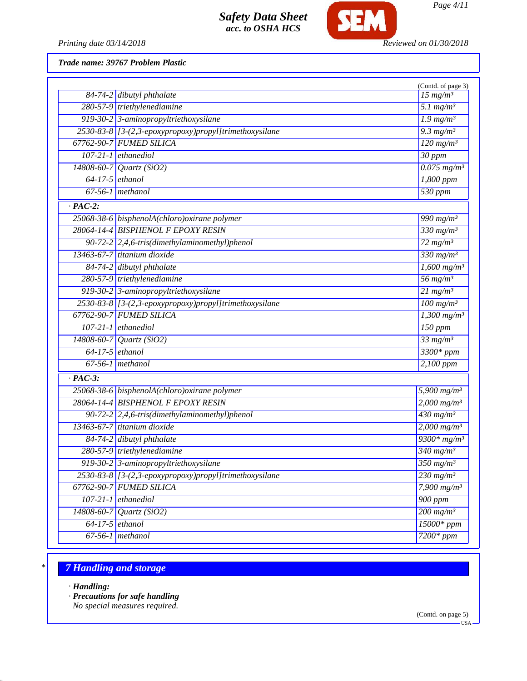

*Printing date 03/14/2018 Reviewed on 01/30/2018*

*Trade name: 39767 Problem Plastic*

|                |                                                                | (Contd. of page 3)           |
|----------------|----------------------------------------------------------------|------------------------------|
|                | $84-74-2$ dibutyl phthalate                                    | $15$ mg/m <sup>3</sup>       |
|                | 280-57-9 triethylenediamine                                    | $5.1$ mg/m <sup>3</sup>      |
|                | 919-30-2 3-aminopropyltriethoxysilane                          | $1.9$ mg/m <sup>3</sup>      |
|                | 2530-83-8 [3-(2,3-epoxypropoxy)propyl]trimethoxysilane         | 9.3 $mg/m^3$                 |
|                | 67762-90-7 FUMED SILICA                                        | $120$ mg/m <sup>3</sup>      |
|                | $107-21-1$ ethanediol                                          | 30 ppm                       |
|                | 14808-60-7 Quartz (SiO2)                                       | $0.075$ mg/m <sup>3</sup>    |
|                | $64-17-5$ ethanol                                              | 1,800 ppm                    |
|                | $67-56-1$ methanol                                             | 530 ppm                      |
| $\cdot$ PAC-2: |                                                                |                              |
|                | 25068-38-6 bisphenolA(chloro) oxirane polymer                  | 990 mg/ $m^3$                |
|                | 28064-14-4 BISPHENOL F EPOXY RESIN                             | 330 mg/m <sup>3</sup>        |
|                | 90-72-2 2,4,6-tris(dimethylaminomethyl)phenol                  | $72$ mg/m <sup>3</sup>       |
|                | 13463-67-7 titanium dioxide                                    | $330$ mg/m <sup>3</sup>      |
|                | 84-74-2 dibutyl phthalate                                      | $1,600$ mg/m <sup>3</sup>    |
|                | 280-57-9 triethylenediamine                                    | 56 $mg/m^3$                  |
|                | 919-30-2 3-aminopropyltriethoxysilane                          | $21$ mg/m <sup>3</sup>       |
|                | 2530-83-8 [3-(2,3-epoxypropoxy)propyl]trimethoxysilane         | $\frac{100 \text{ mg/m}^3}{$ |
|                | 67762-90-7 FUMED SILICA                                        | $1,300$ mg/m <sup>3</sup>    |
|                | $107-21-1$ ethanediol                                          | $150$ ppm                    |
|                | 14808-60-7 Quartz (SiO2)                                       | $33$ mg/m <sup>3</sup>       |
|                | $64-17-5$ ethanol                                              | 3300* ppm                    |
|                | $67-56-1$ methanol                                             | 2,100 ppm                    |
| $\cdot$ PAC-3: |                                                                |                              |
|                | 25068-38-6 bisphenolA(chloro) oxirane polymer                  | 5,900 $mg/m^3$               |
|                | 28064-14-4 BISPHENOL F EPOXY RESIN                             | $2,000 \frac{mg}{m^3}$       |
|                | 90-72-2 $\left  2,4,6\text{-}tris$ (dimethylaminomethyl)phenol | $\frac{430 \text{ mg}}{m^3}$ |
|                | 13463-67-7 titanium dioxide                                    | $2,000$ mg/m <sup>3</sup>    |
|                | 84-74-2 dibutyl phthalate                                      | $9300*mg/m^3$                |
|                | 280-57-9 triethylenediamine                                    | $\frac{340 \text{ mg}}{m^3}$ |
|                | 919-30-2 3-aminopropyltriethoxysilane                          | $\frac{350 \text{ mg}}{m^3}$ |
|                | 2530-83-8 [3-(2,3-epoxypropoxy)propyl]trimethoxysilane         | $230$ mg/m <sup>3</sup>      |
|                | 67762-90-7 FUMED SILICA                                        | 7,900 $mg/m^3$               |
|                | $107-21-1$ ethanediol                                          | $900$ ppm                    |
|                | 14808-60-7 Quartz (SiO2)                                       | $200$ mg/m <sup>3</sup>      |
|                | $64-17-5$ ethanol                                              | $15000*ppm$                  |
|                | $67-56-1$ methanol                                             | $7200*ppm$                   |
|                |                                                                |                              |

## *\* 7 Handling and storage*

*· Handling:*

*· Precautions for safe handling*

*No special measures required.*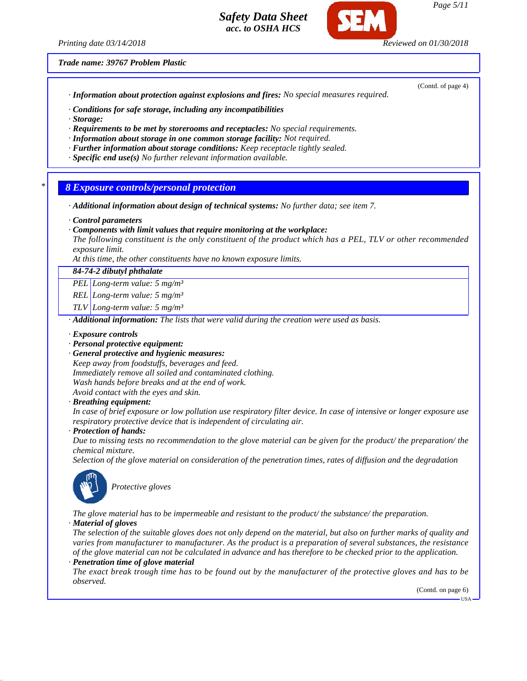*Printing date 03/14/2018 Reviewed on 01/30/2018*

(Contd. of page 4)

*Trade name: 39767 Problem Plastic*

*· Information about protection against explosions and fires: No special measures required.*

*· Conditions for safe storage, including any incompatibilities*

- *· Storage:*
- *· Requirements to be met by storerooms and receptacles: No special requirements.*
- *· Information about storage in one common storage facility: Not required.*
- *· Further information about storage conditions: Keep receptacle tightly sealed.*
- *· Specific end use(s) No further relevant information available.*
- *\* 8 Exposure controls/personal protection*
- *· Additional information about design of technical systems: No further data; see item 7.*
- *· Control parameters*
- *· Components with limit values that require monitoring at the workplace:*

*The following constituent is the only constituent of the product which has a PEL, TLV or other recommended exposure limit.*

*At this time, the other constituents have no known exposure limits.*

*84-74-2 dibutyl phthalate*

*PEL Long-term value: 5 mg/m³*

*REL Long-term value: 5 mg/m³*

*TLV Long-term value: 5 mg/m³*

*· Additional information: The lists that were valid during the creation were used as basis.*

#### *· Exposure controls*

- *· Personal protective equipment:*
- *· General protective and hygienic measures:*

*Keep away from foodstuffs, beverages and feed. Immediately remove all soiled and contaminated clothing. Wash hands before breaks and at the end of work. Avoid contact with the eyes and skin.*

*· Breathing equipment:*

*In case of brief exposure or low pollution use respiratory filter device. In case of intensive or longer exposure use respiratory protective device that is independent of circulating air.*

*· Protection of hands:*

*Due to missing tests no recommendation to the glove material can be given for the product/ the preparation/ the chemical mixture.*

*Selection of the glove material on consideration of the penetration times, rates of diffusion and the degradation*



*Protective gloves*

*The glove material has to be impermeable and resistant to the product/ the substance/ the preparation. · Material of gloves*

*The selection of the suitable gloves does not only depend on the material, but also on further marks of quality and varies from manufacturer to manufacturer. As the product is a preparation of several substances, the resistance of the glove material can not be calculated in advance and has therefore to be checked prior to the application.*

*· Penetration time of glove material*

*The exact break trough time has to be found out by the manufacturer of the protective gloves and has to be observed.*

(Contd. on page 6)

USA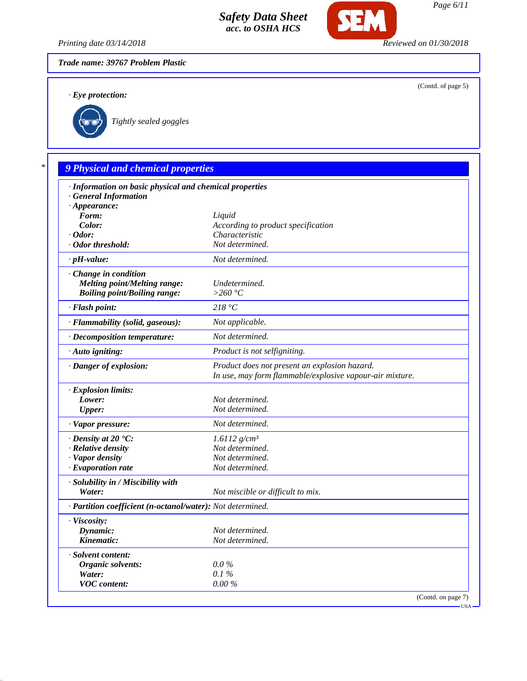

*Printing date 03/14/2018 Reviewed on 01/30/2018*

*Trade name: 39767 Problem Plastic*

*· Eye protection:*

(Contd. of page 5)



*\* 9 Physical and chemical properties · Information on basic physical and chemical properties · General Information · Appearance: Form: Liquid Color: According to product specification · Odor: Characteristic · Odor threshold: Not determined. · pH-value: Not determined. · Change in condition Melting point/Melting range: Undetermined. Boiling point/Boiling range: >260 °C · Flash point: 218 °C · Flammability (solid, gaseous): Not applicable. · Decomposition temperature: Not determined. · Auto igniting: Product is not selfigniting. · Danger of explosion: Product does not present an explosion hazard. In use, may form flammable/explosive vapour-air mixture. · Explosion limits: Lower: Not determined. Upper: Not determined. · Vapor pressure: Not determined. · Density at 20 °C: 1.6112 g/cm³ · Relative density Not determined. · Vapor density Not determined. · Evaporation rate Not determined. · Solubility in / Miscibility with Water: Not miscible or difficult to mix. · Partition coefficient (n-octanol/water): Not determined. · Viscosity: Dynamic: Not determined. Kinematic: Not determined. · Solvent content: Organic solvents: 0.0 % Water: 0.1 % VOC content: 0.00 %*

(Contd. on page 7) USA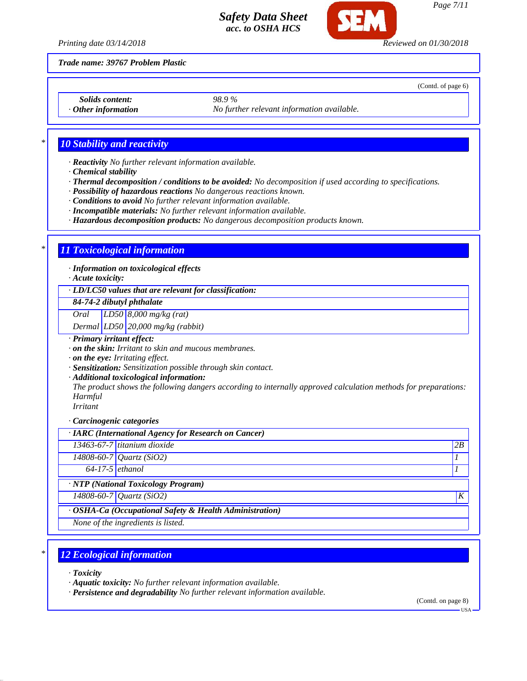

*Page 7/11*

(Contd. of page 6)

*Printing date 03/14/2018 Reviewed on 01/30/2018*

*Trade name: 39767 Problem Plastic*

*Solids content: 98.9 %*

*· Other information No further relevant information available.*

## *\* 10 Stability and reactivity*

*· Reactivity No further relevant information available.*

- *· Chemical stability*
- *· Thermal decomposition / conditions to be avoided: No decomposition if used according to specifications.*
- *· Possibility of hazardous reactions No dangerous reactions known.*
- *· Conditions to avoid No further relevant information available.*
- *· Incompatible materials: No further relevant information available.*
- *· Hazardous decomposition products: No dangerous decomposition products known.*

## *\* 11 Toxicological information*

*· Information on toxicological effects*

*· Acute toxicity:*

#### *· LD/LC50 values that are relevant for classification:*

*84-74-2 dibutyl phthalate*

*Oral LD50 8,000 mg/kg (rat)*

*Dermal LD50 20,000 mg/kg (rabbit)*

*· Primary irritant effect:*

*· on the skin: Irritant to skin and mucous membranes.*

*· on the eye: Irritating effect.*

*· Sensitization: Sensitization possible through skin contact.*

*· Additional toxicological information:*

*The product shows the following dangers according to internally approved calculation methods for preparations: Harmful*

*Irritant*

*· Carcinogenic categories*

| · IARC (International Agency for Research on Cancer)    |                                       |                  |
|---------------------------------------------------------|---------------------------------------|------------------|
|                                                         | 13463-67-7 titanium dioxide           | 2B               |
|                                                         | 14808-60-7 Quartz (SiO2)              |                  |
| $64-17-5$ ethanol                                       |                                       |                  |
|                                                         | · NTP (National Toxicology Program)   |                  |
|                                                         | $14808 - 60 - 7$ <i>Quartz</i> (SiO2) | $\boldsymbol{K}$ |
| · OSHA-Ca (Occupational Safety & Health Administration) |                                       |                  |
|                                                         | None of the ingredients is listed.    |                  |

## *\* 12 Ecological information*

*· Toxicity*

*· Aquatic toxicity: No further relevant information available.*

*· Persistence and degradability No further relevant information available.*

(Contd. on page 8)

 $-11S_A$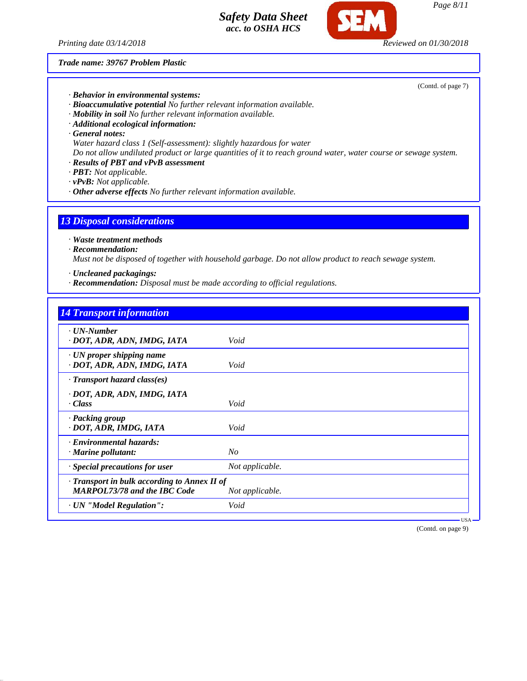*Printing date 03/14/2018 Reviewed on 01/30/2018*

*Trade name: 39767 Problem Plastic*



*· Mobility in soil No further relevant information available.*

*· Additional ecological information:*

*· General notes:*

*Water hazard class 1 (Self-assessment): slightly hazardous for water*

*Do not allow undiluted product or large quantities of it to reach ground water, water course or sewage system.*

*· Results of PBT and vPvB assessment*

*· PBT: Not applicable.*

*· vPvB: Not applicable.*

*· Other adverse effects No further relevant information available.*

#### *13 Disposal considerations*

*· Waste treatment methods*

#### *· Recommendation:*

*Must not be disposed of together with household garbage. Do not allow product to reach sewage system.*

*· Uncleaned packagings:*

*· Recommendation: Disposal must be made according to official regulations.*

# *14 Transport information · UN-Number · DOT, ADR, ADN, IMDG, IATA Void · UN proper shipping name · DOT, ADR, ADN, IMDG, IATA Void · Transport hazard class(es) · DOT, ADR, ADN, IMDG, IATA · Class Void · Packing group · DOT, ADR, IMDG, IATA Void · Environmental hazards: · Marine pollutant: No · Special precautions for user Not applicable. · Transport in bulk according to Annex II of MARPOL73/78 and the IBC Code Not applicable. · UN "Model Regulation": Void*

(Contd. on page 9)

USA

*Page 8/11*

(Contd. of page 7)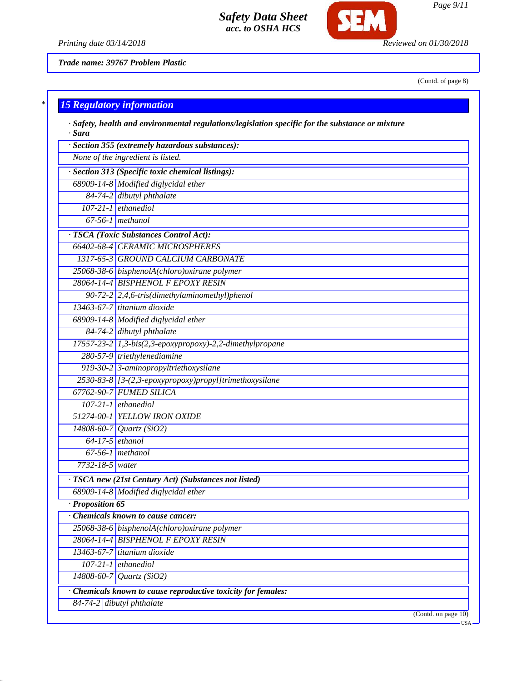

*Printing date 03/14/2018 Reviewed on 01/30/2018*

*Trade name: 39767 Problem Plastic*

(Contd. of page 8)

| $\ast$ | <b>15 Regulatory information</b> |  |  |
|--------|----------------------------------|--|--|
|        |                                  |  |  |

|                        | · Section 355 (extremely hazardous substances):               |  |
|------------------------|---------------------------------------------------------------|--|
|                        | None of the ingredient is listed.                             |  |
|                        | · Section 313 (Specific toxic chemical listings):             |  |
|                        | 68909-14-8 Modified diglycidal ether                          |  |
|                        | 84-74-2 dibutyl phthalate                                     |  |
|                        | $107-21-1$ ethanediol                                         |  |
|                        | $67-56-1$ methanol                                            |  |
|                        | · TSCA (Toxic Substances Control Act):                        |  |
|                        | 66402-68-4 CERAMIC MICROSPHERES                               |  |
|                        | 1317-65-3 GROUND CALCIUM CARBONATE                            |  |
|                        | 25068-38-6 bisphenolA(chloro)oxirane polymer                  |  |
|                        | 28064-14-4 BISPHENOL F EPOXY RESIN                            |  |
|                        | 90-72-2 2,4,6-tris(dimethylaminomethyl)phenol                 |  |
|                        | 13463-67-7 titanium dioxide                                   |  |
|                        | 68909-14-8 Modified diglycidal ether                          |  |
|                        | 84-74-2 dibutyl phthalate                                     |  |
|                        | 17557-23-2 1,3-bis(2,3-epoxypropoxy)-2,2-dimethylpropane      |  |
|                        | 280-57-9 triethylenediamine                                   |  |
|                        | 919-30-2 3-aminopropyltriethoxysilane                         |  |
|                        | 2530-83-8 [3-(2,3-epoxypropoxy)propyl]trimethoxysilane        |  |
|                        | 67762-90-7 FUMED SILICA                                       |  |
|                        | $107-21-1$ ethanediol                                         |  |
|                        | 51274-00-1 YELLOW IRON OXIDE                                  |  |
|                        | $14808 - 60 - 7$ <i>Quartz</i> (SiO2)                         |  |
|                        | $64-17-5$ ethanol                                             |  |
|                        | $67-56-1$ methanol                                            |  |
| 7732-18-5 water        |                                                               |  |
|                        | · TSCA new (21st Century Act) (Substances not listed)         |  |
|                        | 68909-14-8 Modified diglycidal ether                          |  |
| $\cdot$ Proposition 65 |                                                               |  |
|                        | <b>Chemicals known to cause cancer:</b>                       |  |
|                        | 25068-38-6 bisphenolA(chloro) oxirane polymer                 |  |
|                        | 28064-14-4 BISPHENOL F EPOXY RESIN                            |  |
|                        | 13463-67-7 titanium dioxide                                   |  |
|                        | $107-21-1$ ethanediol                                         |  |
|                        | 14808-60-7 Quartz (SiO2)                                      |  |
|                        | · Chemicals known to cause reproductive toxicity for females: |  |
|                        | 84-74-2 dibutyl phthalate                                     |  |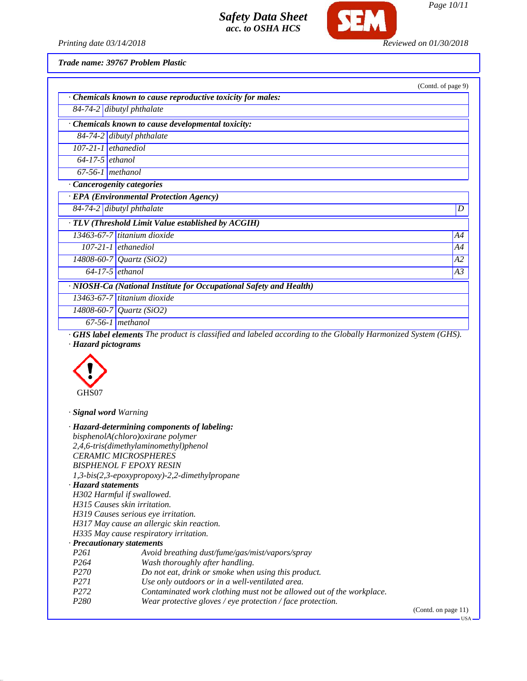

*Printing date 03/14/2018 Reviewed on 01/30/2018*

*Trade name: 39767 Problem Plastic*

|                   |                                                                                                                    | (Contd. of page 9) |
|-------------------|--------------------------------------------------------------------------------------------------------------------|--------------------|
|                   | · Chemicals known to cause reproductive toxicity for males:                                                        |                    |
|                   | $84-74-2$ dibutyl phthalate                                                                                        |                    |
|                   | · Chemicals known to cause developmental toxicity:                                                                 |                    |
|                   | 84-74-2 dibutyl phthalate                                                                                          |                    |
|                   | $107-21-1$ ethanediol                                                                                              |                    |
| $64-17-5$ ethanol |                                                                                                                    |                    |
|                   | $67-56-1$ methanol                                                                                                 |                    |
|                   | · Cancerogenity categories                                                                                         |                    |
|                   | · EPA (Environmental Protection Agency)                                                                            |                    |
|                   | $84-74-2$ dibutyl phthalate                                                                                        | D                  |
|                   | · TLV (Threshold Limit Value established by ACGIH)                                                                 |                    |
|                   | $13463-67-7$ titanium dioxide                                                                                      | A4                 |
|                   | $107-21-1$ ethanediol                                                                                              | A4                 |
|                   | $\sqrt{14808 - 60 - 7}$ Quartz (SiO2)                                                                              | A2                 |
|                   | $64-17-5$ ethanol                                                                                                  | A3                 |
|                   | · NIOSH-Ca (National Institute for Occupational Safety and Health)                                                 |                    |
|                   | $13463-67-7$ titanium dioxide                                                                                      |                    |
|                   | 14808-60-7 Quartz (SiO2)                                                                                           |                    |
|                   | $67-56-1$ methanol                                                                                                 |                    |
|                   | <b>GHS label elements</b> The product is classified and labeled according to the Globally Harmonized System (GHS). |                    |

*· Hazard pictograms*



*· Signal word Warning*

|                              | $\cdot$ Hazard-determining components of labeling:                   |                       |
|------------------------------|----------------------------------------------------------------------|-----------------------|
|                              | bisphenolA(chloro)oxirane polymer                                    |                       |
|                              | 2,4,6-tris(dimethylaminomethyl)phenol                                |                       |
|                              | <b>CERAMIC MICROSPHERES</b>                                          |                       |
|                              | <b>BISPHENOL F EPOXY RESIN</b>                                       |                       |
|                              | 1,3-bis(2,3-epoxypropoxy)-2,2-dimethylpropane                        |                       |
| · Hazard statements          |                                                                      |                       |
| H302 Harmful if swallowed.   |                                                                      |                       |
| H315 Causes skin irritation. |                                                                      |                       |
|                              | H319 Causes serious eye irritation.                                  |                       |
|                              | H317 May cause an allergic skin reaction.                            |                       |
|                              | H335 May cause respiratory irritation.                               |                       |
| · Precautionary statements   |                                                                      |                       |
| <i>P261</i>                  | Avoid breathing dust/fume/gas/mist/vapors/spray                      |                       |
| P <sub>264</sub>             | Wash thoroughly after handling.                                      |                       |
| P <sub>270</sub>             | Do not eat, drink or smoke when using this product.                  |                       |
| P <sub>271</sub>             | Use only outdoors or in a well-ventilated area.                      |                       |
| P <sub>272</sub>             | Contaminated work clothing must not be allowed out of the workplace. |                       |
| P <sub>280</sub>             | Wear protective gloves / eye protection / face protection.           |                       |
|                              |                                                                      | $(0.0001)$ $-0.00001$ |

(Contd. on page 11)  $-<sub>USA</sub>$